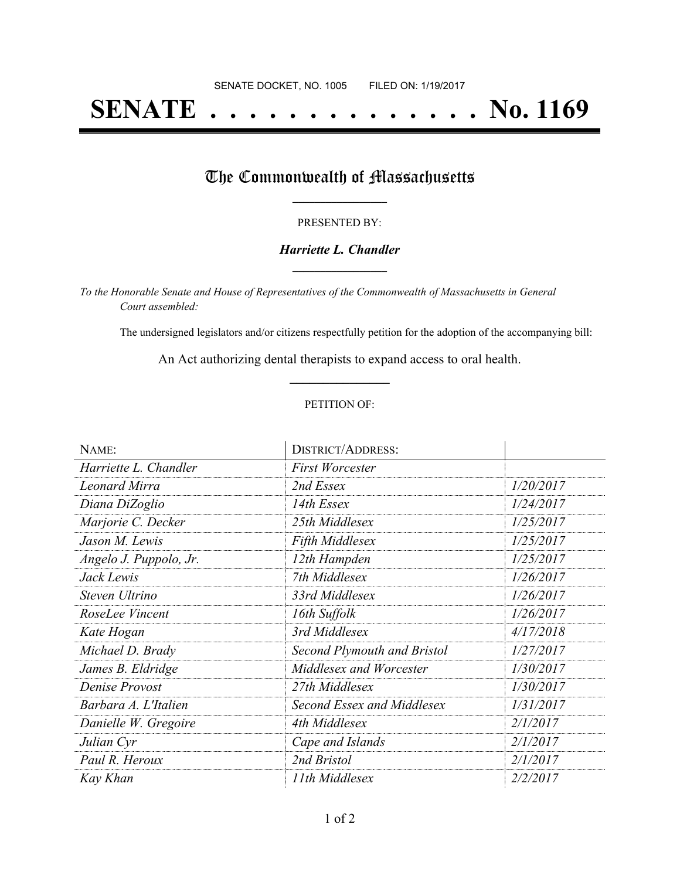# **SENATE . . . . . . . . . . . . . . No. 1169**

## The Commonwealth of Massachusetts

#### PRESENTED BY:

#### *Harriette L. Chandler* **\_\_\_\_\_\_\_\_\_\_\_\_\_\_\_\_\_**

*To the Honorable Senate and House of Representatives of the Commonwealth of Massachusetts in General Court assembled:*

The undersigned legislators and/or citizens respectfully petition for the adoption of the accompanying bill:

An Act authorizing dental therapists to expand access to oral health. **\_\_\_\_\_\_\_\_\_\_\_\_\_\_\_**

#### PETITION OF:

| NAME:                  | <b>DISTRICT/ADDRESS:</b>    |           |
|------------------------|-----------------------------|-----------|
| Harriette L. Chandler  | <b>First Worcester</b>      |           |
| <b>Leonard Mirra</b>   | 2nd Essex                   | 1/20/2017 |
| Diana DiZoglio         | 14th Essex                  | 1/24/2017 |
| Marjorie C. Decker     | 25th Middlesex              | 1/25/2017 |
| Jason M. Lewis         | <b>Fifth Middlesex</b>      | 1/25/2017 |
| Angelo J. Puppolo, Jr. | 12th Hampden                | 1/25/2017 |
| Jack Lewis             | 7th Middlesex               | 1/26/2017 |
| Steven Ultrino         | 33rd Middlesex              | 1/26/2017 |
| RoseLee Vincent        | 16th Suffolk                | 1/26/2017 |
| Kate Hogan             | 3rd Middlesex               | 4/17/2018 |
| Michael D. Brady       | Second Plymouth and Bristol | 1/27/2017 |
| James B. Eldridge      | Middlesex and Worcester     | 1/30/2017 |
| Denise Provost         | 27th Middlesex              | 1/30/2017 |
| Barbara A. L'Italien   | Second Essex and Middlesex  | 1/31/2017 |
| Danielle W. Gregoire   | 4th Middlesex               | 2/1/2017  |
| Julian Cyr             | Cape and Islands            | 2/1/2017  |
| Paul R. Heroux         | 2nd Bristol                 | 2/1/2017  |
| Kay Khan               | 11th Middlesex              | 2/2/2017  |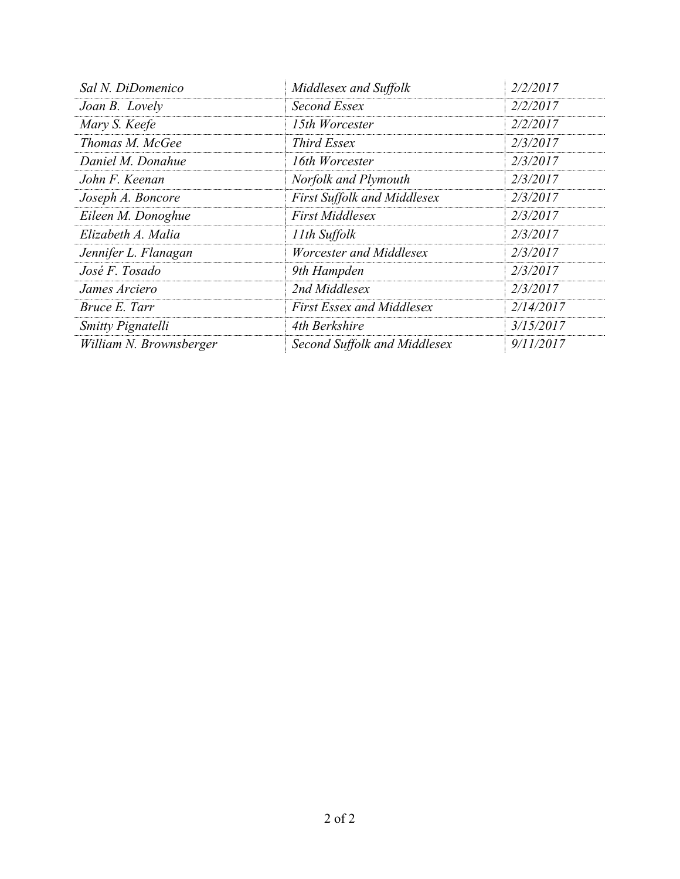| Sal N. DiDomenico       | Middlesex and Suffolk              | 2/2/2017  |
|-------------------------|------------------------------------|-----------|
| Joan B. Lovely          | Second Essex                       | 2/2/2017  |
| Mary S. Keefe           | 15th Worcester                     | 2/2/2017  |
| Thomas M. McGee         | Third Essex                        | 2/3/2017  |
| Daniel M. Donahue       | 16th Worcester                     | 2/3/2017  |
| John F. Keenan          | Norfolk and Plymouth               | 2/3/2017  |
| Joseph A. Boncore       | <b>First Suffolk and Middlesex</b> | 2/3/2017  |
| Eileen M. Donoghue      | <b>First Middlesex</b>             | 2/3/2017  |
| Elizabeth A. Malia      | 11th Suffolk                       | 2/3/2017  |
| Jennifer L. Flanagan    | Worcester and Middlesex            | 2/3/2017  |
| José F. Tosado          | 9th Hampden                        | 2/3/2017  |
| James Arciero           | 2nd Middlesex                      | 2/3/2017  |
| <i>Bruce E. Tarr</i>    | <b>First Essex and Middlesex</b>   | 2/14/2017 |
| Smitty Pignatelli       | 4th Berkshire                      | 3/15/2017 |
| William N. Brownsberger | Second Suffolk and Middlesex       | 9/11/2017 |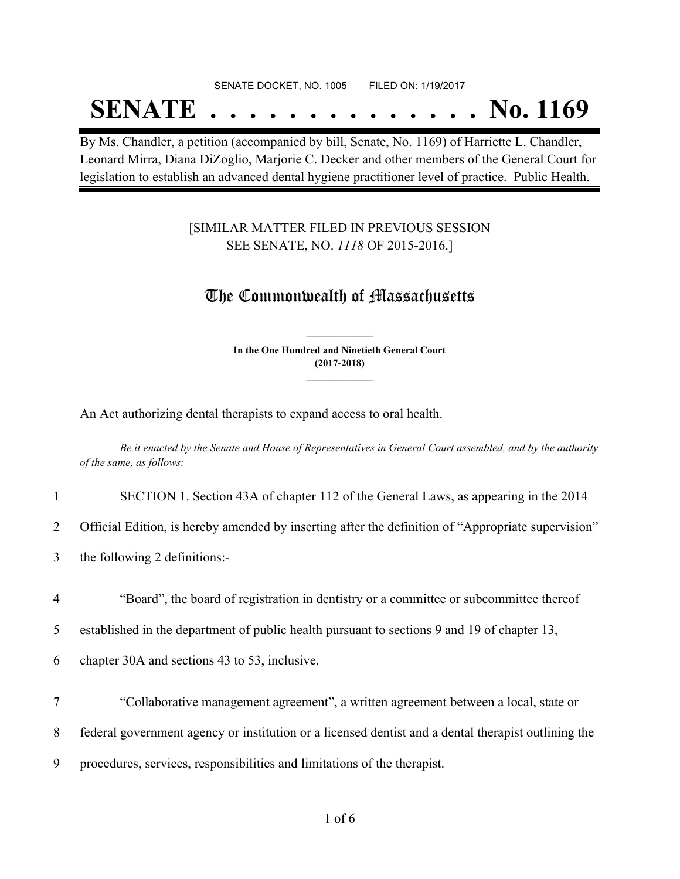#### SENATE DOCKET, NO. 1005 FILED ON: 1/19/2017

## **SENATE . . . . . . . . . . . . . . No. 1169**

By Ms. Chandler, a petition (accompanied by bill, Senate, No. 1169) of Harriette L. Chandler, Leonard Mirra, Diana DiZoglio, Marjorie C. Decker and other members of the General Court for legislation to establish an advanced dental hygiene practitioner level of practice. Public Health.

### [SIMILAR MATTER FILED IN PREVIOUS SESSION SEE SENATE, NO. *1118* OF 2015-2016.]

### The Commonwealth of Massachusetts

**In the One Hundred and Ninetieth General Court (2017-2018) \_\_\_\_\_\_\_\_\_\_\_\_\_\_\_**

**\_\_\_\_\_\_\_\_\_\_\_\_\_\_\_**

An Act authorizing dental therapists to expand access to oral health.

Be it enacted by the Senate and House of Representatives in General Court assembled, and by the authority *of the same, as follows:*

|  |  | SECTION 1. Section 43A of chapter 112 of the General Laws, as appearing in the 2014 |  |
|--|--|-------------------------------------------------------------------------------------|--|
|  |  |                                                                                     |  |

2 Official Edition, is hereby amended by inserting after the definition of "Appropriate supervision"

- 3 the following 2 definitions:-
- 4 "Board", the board of registration in dentistry or a committee or subcommittee thereof

5 established in the department of public health pursuant to sections 9 and 19 of chapter 13,

6 chapter 30A and sections 43 to 53, inclusive.

- 7 "Collaborative management agreement", a written agreement between a local, state or 8 federal government agency or institution or a licensed dentist and a dental therapist outlining the
- 
- 9 procedures, services, responsibilities and limitations of the therapist.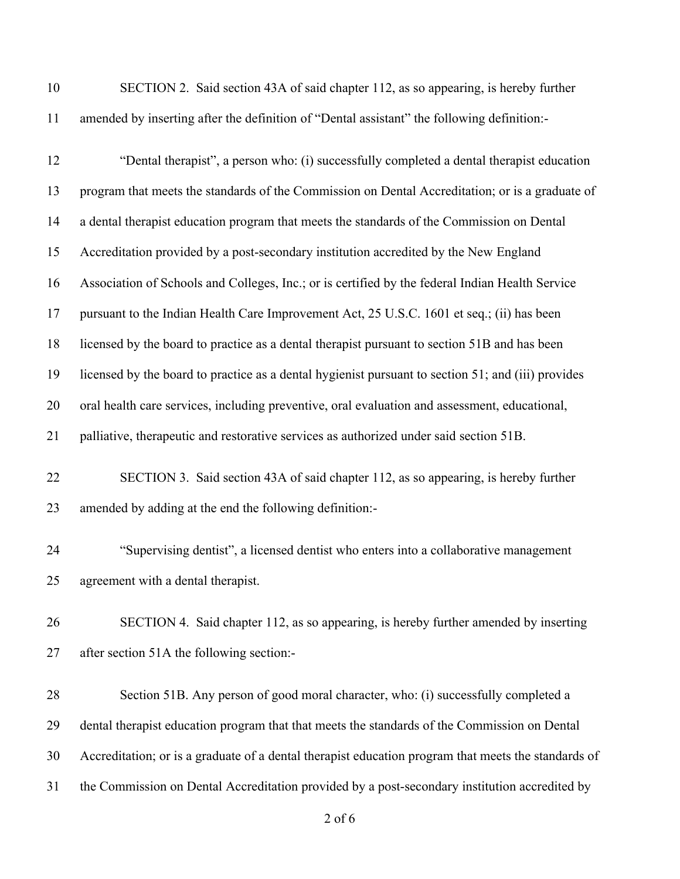| 10 | SECTION 2. Said section 43A of said chapter 112, as so appearing, is hereby further                 |
|----|-----------------------------------------------------------------------------------------------------|
| 11 | amended by inserting after the definition of "Dental assistant" the following definition:-          |
| 12 | "Dental therapist", a person who: (i) successfully completed a dental therapist education           |
| 13 | program that meets the standards of the Commission on Dental Accreditation; or is a graduate of     |
| 14 | a dental therapist education program that meets the standards of the Commission on Dental           |
| 15 | Accreditation provided by a post-secondary institution accredited by the New England                |
| 16 | Association of Schools and Colleges, Inc.; or is certified by the federal Indian Health Service     |
| 17 | pursuant to the Indian Health Care Improvement Act, 25 U.S.C. 1601 et seq.; (ii) has been           |
| 18 | licensed by the board to practice as a dental therapist pursuant to section 51B and has been        |
| 19 | licensed by the board to practice as a dental hygienist pursuant to section 51; and (iii) provides  |
| 20 | oral health care services, including preventive, oral evaluation and assessment, educational,       |
| 21 | palliative, therapeutic and restorative services as authorized under said section 51B.              |
| 22 | SECTION 3. Said section 43A of said chapter 112, as so appearing, is hereby further                 |
| 23 | amended by adding at the end the following definition:-                                             |
| 24 | "Supervising dentist", a licensed dentist who enters into a collaborative management                |
| 25 | agreement with a dental therapist.                                                                  |
| 26 | SECTION 4. Said chapter 112, as so appearing, is hereby further amended by inserting                |
| 27 | after section 51A the following section:-                                                           |
| 28 | Section 51B. Any person of good moral character, who: (i) successfully completed a                  |
| 29 | dental therapist education program that that meets the standards of the Commission on Dental        |
| 30 | Accreditation; or is a graduate of a dental therapist education program that meets the standards of |
| 31 | the Commission on Dental Accreditation provided by a post-secondary institution accredited by       |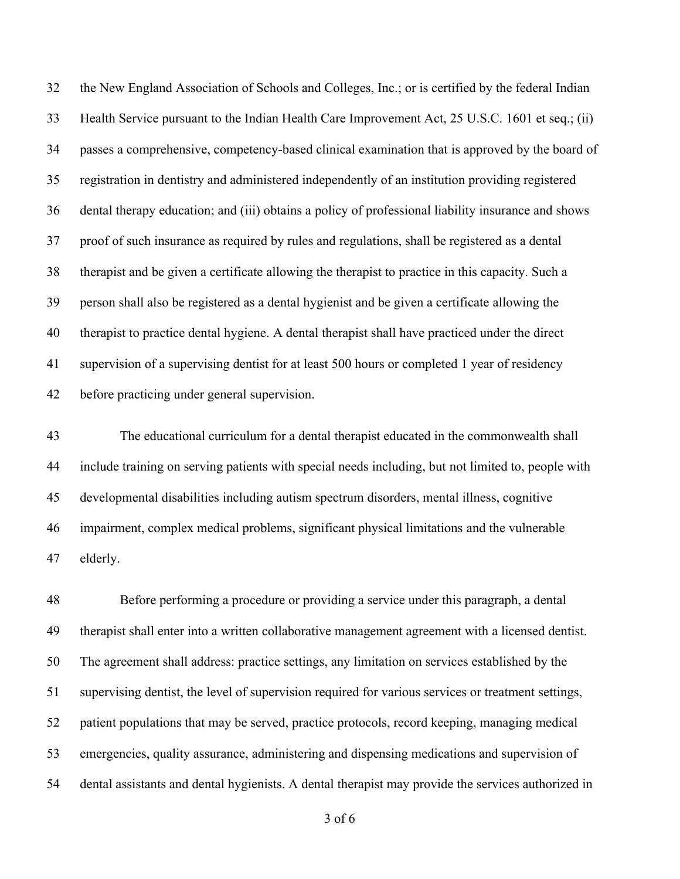the New England Association of Schools and Colleges, Inc.; or is certified by the federal Indian Health Service pursuant to the Indian Health Care Improvement Act, 25 U.S.C. 1601 et seq.; (ii) passes a comprehensive, competency-based clinical examination that is approved by the board of registration in dentistry and administered independently of an institution providing registered dental therapy education; and (iii) obtains a policy of professional liability insurance and shows proof of such insurance as required by rules and regulations, shall be registered as a dental therapist and be given a certificate allowing the therapist to practice in this capacity. Such a person shall also be registered as a dental hygienist and be given a certificate allowing the therapist to practice dental hygiene. A dental therapist shall have practiced under the direct supervision of a supervising dentist for at least 500 hours or completed 1 year of residency before practicing under general supervision.

 The educational curriculum for a dental therapist educated in the commonwealth shall include training on serving patients with special needs including, but not limited to, people with developmental disabilities including autism spectrum disorders, mental illness, cognitive impairment, complex medical problems, significant physical limitations and the vulnerable elderly.

 Before performing a procedure or providing a service under this paragraph, a dental therapist shall enter into a written collaborative management agreement with a licensed dentist. The agreement shall address: practice settings, any limitation on services established by the supervising dentist, the level of supervision required for various services or treatment settings, patient populations that may be served, practice protocols, record keeping, managing medical emergencies, quality assurance, administering and dispensing medications and supervision of dental assistants and dental hygienists. A dental therapist may provide the services authorized in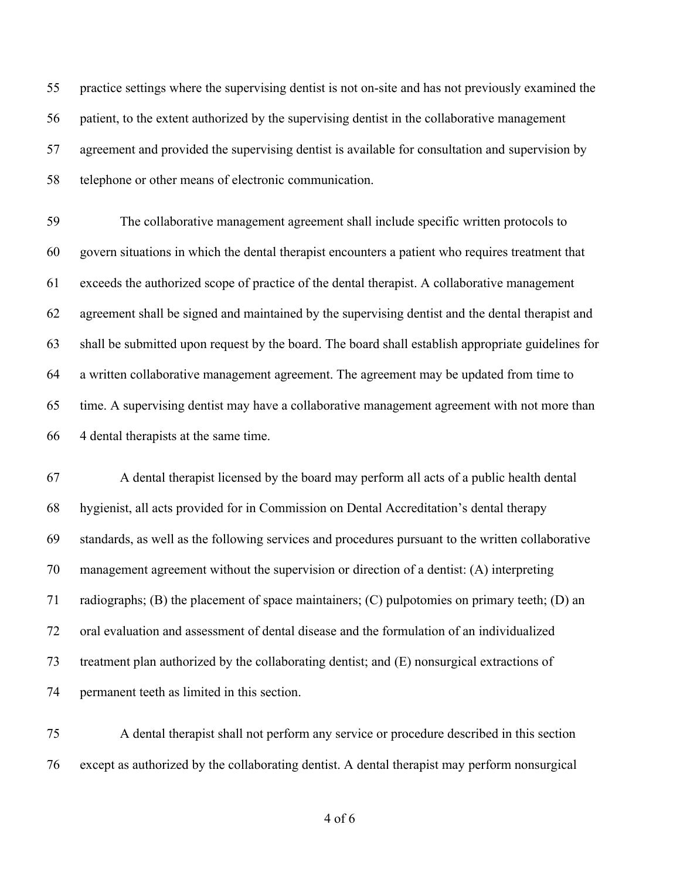practice settings where the supervising dentist is not on-site and has not previously examined the patient, to the extent authorized by the supervising dentist in the collaborative management agreement and provided the supervising dentist is available for consultation and supervision by telephone or other means of electronic communication.

 The collaborative management agreement shall include specific written protocols to govern situations in which the dental therapist encounters a patient who requires treatment that exceeds the authorized scope of practice of the dental therapist. A collaborative management agreement shall be signed and maintained by the supervising dentist and the dental therapist and shall be submitted upon request by the board. The board shall establish appropriate guidelines for a written collaborative management agreement. The agreement may be updated from time to time. A supervising dentist may have a collaborative management agreement with not more than 4 dental therapists at the same time.

 A dental therapist licensed by the board may perform all acts of a public health dental hygienist, all acts provided for in Commission on Dental Accreditation's dental therapy standards, as well as the following services and procedures pursuant to the written collaborative management agreement without the supervision or direction of a dentist: (A) interpreting radiographs; (B) the placement of space maintainers; (C) pulpotomies on primary teeth; (D) an oral evaluation and assessment of dental disease and the formulation of an individualized treatment plan authorized by the collaborating dentist; and (E) nonsurgical extractions of permanent teeth as limited in this section.

 A dental therapist shall not perform any service or procedure described in this section except as authorized by the collaborating dentist. A dental therapist may perform nonsurgical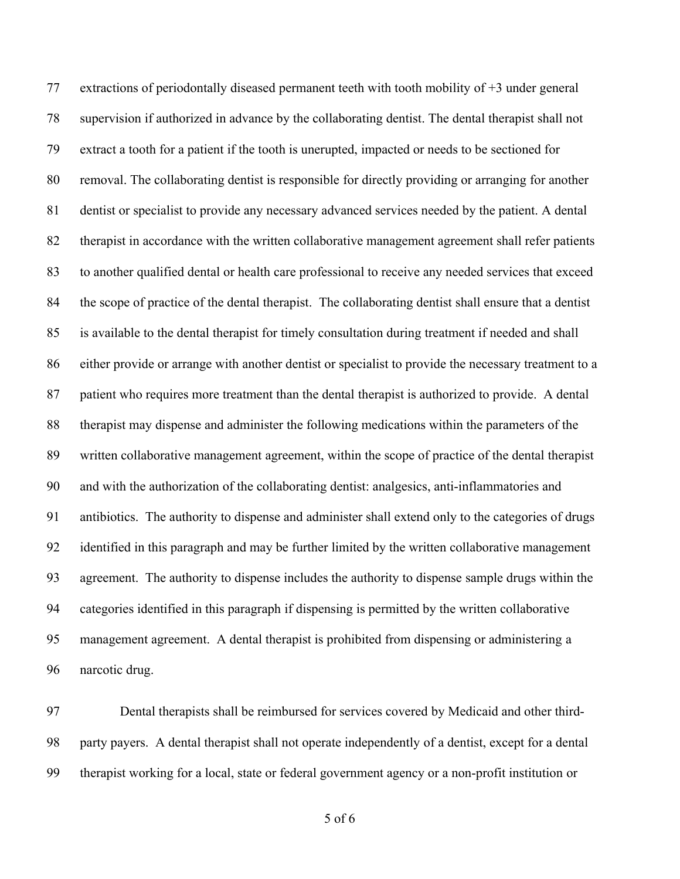extractions of periodontally diseased permanent teeth with tooth mobility of +3 under general supervision if authorized in advance by the collaborating dentist. The dental therapist shall not extract a tooth for a patient if the tooth is unerupted, impacted or needs to be sectioned for removal. The collaborating dentist is responsible for directly providing or arranging for another dentist or specialist to provide any necessary advanced services needed by the patient. A dental therapist in accordance with the written collaborative management agreement shall refer patients to another qualified dental or health care professional to receive any needed services that exceed the scope of practice of the dental therapist. The collaborating dentist shall ensure that a dentist is available to the dental therapist for timely consultation during treatment if needed and shall either provide or arrange with another dentist or specialist to provide the necessary treatment to a patient who requires more treatment than the dental therapist is authorized to provide. A dental therapist may dispense and administer the following medications within the parameters of the written collaborative management agreement, within the scope of practice of the dental therapist and with the authorization of the collaborating dentist: analgesics, anti-inflammatories and antibiotics. The authority to dispense and administer shall extend only to the categories of drugs identified in this paragraph and may be further limited by the written collaborative management agreement. The authority to dispense includes the authority to dispense sample drugs within the categories identified in this paragraph if dispensing is permitted by the written collaborative management agreement. A dental therapist is prohibited from dispensing or administering a narcotic drug.

 Dental therapists shall be reimbursed for services covered by Medicaid and other third- party payers. A dental therapist shall not operate independently of a dentist, except for a dental therapist working for a local, state or federal government agency or a non-profit institution or